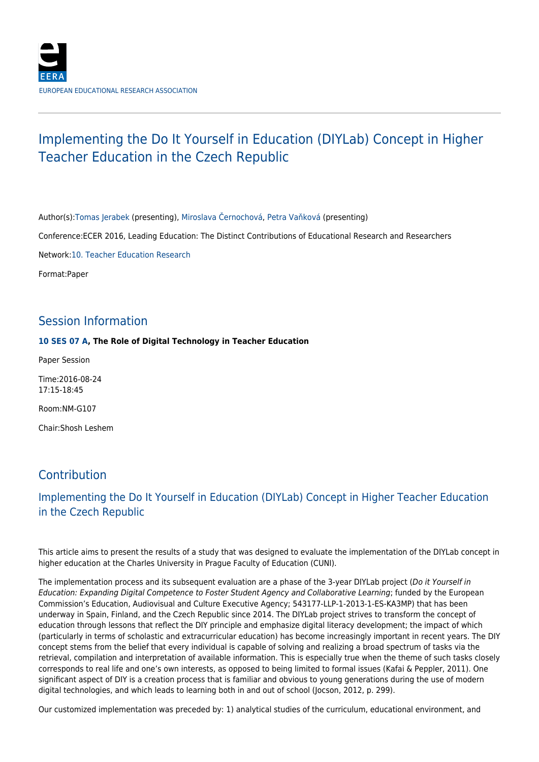# Implementing the Do It Yourself in Education (DIYLab) Concept in Higher Teacher Education in the Czech Republic

Author(s)[:Tomas Jerabek](http://www.eera-ecer.de/ecer-programmes/search-programmes/conference/21/searchForContributionByPerson/?no_cache=1&personUid=94171&cHash=022a397485f579ff0c021cfebd84bf40) (presenting), [Miroslava Černochová](http://www.eera-ecer.de/ecer-programmes/search-programmes/conference/21/searchForContributionByPerson/?no_cache=1&personUid=94172&cHash=0cee0664dda91814ee4bd7ac7962a357), [Petra Vaňková](http://www.eera-ecer.de/ecer-programmes/search-programmes/conference/21/searchForContributionByPerson/?no_cache=1&personUid=94173&cHash=409fefd5437d18db16c17d7526bb3900) (presenting)

Conference:ECER 2016, Leading Education: The Distinct Contributions of Educational Research and Researchers

Network[:10. Teacher Education Research](http://www.eera-ecer.de/ecer-programmes/conference/21/network/533/)

Format:Paper

### Session Information

#### **[10 SES 07 A,](http://www.eera-ecer.de/ecer-programmes/conference/21/session/12185/) The Role of Digital Technology in Teacher Education**

Paper Session

Time:2016-08-24 17:15-18:45

Room:NM-G107

Chair:Shosh Leshem

## Contribution

### Implementing the Do It Yourself in Education (DIYLab) Concept in Higher Teacher Education in the Czech Republic

This article aims to present the results of a study that was designed to evaluate the implementation of the DIYLab concept in higher education at the Charles University in Prague Faculty of Education (CUNI).

The implementation process and its subsequent evaluation are a phase of the 3-year DIYLab project (Do it Yourself in Education: Expanding Digital Competence to Foster Student Agency and Collaborative Learning; funded by the European Commission's Education, Audiovisual and Culture Executive Agency; 543177-LLP-1-2013-1-ES-KA3MP) that has been underway in Spain, Finland, and the Czech Republic since 2014. The DIYLab project strives to transform the concept of education through lessons that reflect the DIY principle and emphasize digital literacy development; the impact of which (particularly in terms of scholastic and extracurricular education) has become increasingly important in recent years. The DIY concept stems from the belief that every individual is capable of solving and realizing a broad spectrum of tasks via the retrieval, compilation and interpretation of available information. This is especially true when the theme of such tasks closely corresponds to real life and one's own interests, as opposed to being limited to formal issues (Kafai & Peppler, 2011). One significant aspect of DIY is a creation process that is familiar and obvious to young generations during the use of modern digital technologies, and which leads to learning both in and out of school (Jocson, 2012, p. 299).

Our customized implementation was preceded by: 1) analytical studies of the curriculum, educational environment, and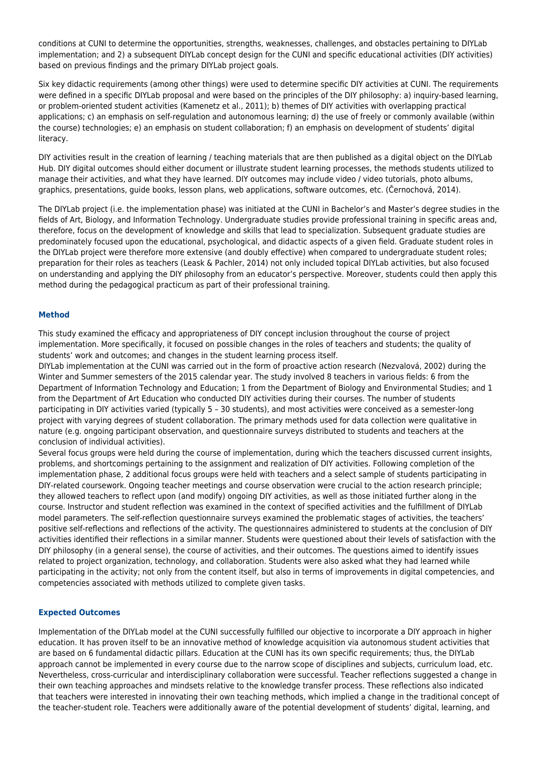conditions at CUNI to determine the opportunities, strengths, weaknesses, challenges, and obstacles pertaining to DIYLab implementation; and 2) a subsequent DIYLab concept design for the CUNI and specific educational activities (DIY activities) based on previous findings and the primary DIYLab project goals.

Six key didactic requirements (among other things) were used to determine specific DIY activities at CUNI. The requirements were defined in a specific DIYLab proposal and were based on the principles of the DIY philosophy: a) inquiry-based learning, or problem-oriented student activities (Kamenetz et al., 2011); b) themes of DIY activities with overlapping practical applications; c) an emphasis on self-regulation and autonomous learning; d) the use of freely or commonly available (within the course) technologies; e) an emphasis on student collaboration; f) an emphasis on development of students' digital literacy.

DIY activities result in the creation of learning / teaching materials that are then published as a digital object on the DIYLab Hub. DIY digital outcomes should either document or illustrate student learning processes, the methods students utilized to manage their activities, and what they have learned. DIY outcomes may include video / video tutorials, photo albums, graphics, presentations, guide books, lesson plans, web applications, software outcomes, etc. (Černochová, 2014).

The DIYLab project (i.e. the implementation phase) was initiated at the CUNI in Bachelor's and Master's degree studies in the fields of Art, Biology, and Information Technology. Undergraduate studies provide professional training in specific areas and, therefore, focus on the development of knowledge and skills that lead to specialization. Subsequent graduate studies are predominately focused upon the educational, psychological, and didactic aspects of a given field. Graduate student roles in the DIYLab project were therefore more extensive (and doubly effective) when compared to undergraduate student roles; preparation for their roles as teachers (Leask & Pachler, 2014) not only included topical DIYLab activities, but also focused on understanding and applying the DIY philosophy from an educator's perspective. Moreover, students could then apply this method during the pedagogical practicum as part of their professional training.

#### **Method**

This study examined the efficacy and appropriateness of DIY concept inclusion throughout the course of project implementation. More specifically, it focused on possible changes in the roles of teachers and students; the quality of students' work and outcomes; and changes in the student learning process itself.

DIYLab implementation at the CUNI was carried out in the form of proactive action research (Nezvalová, 2002) during the Winter and Summer semesters of the 2015 calendar year. The study involved 8 teachers in various fields: 6 from the Department of Information Technology and Education; 1 from the Department of Biology and Environmental Studies; and 1 from the Department of Art Education who conducted DIY activities during their courses. The number of students participating in DIY activities varied (typically 5 – 30 students), and most activities were conceived as a semester-long project with varying degrees of student collaboration. The primary methods used for data collection were qualitative in nature (e.g. ongoing participant observation, and questionnaire surveys distributed to students and teachers at the conclusion of individual activities).

Several focus groups were held during the course of implementation, during which the teachers discussed current insights, problems, and shortcomings pertaining to the assignment and realization of DIY activities. Following completion of the implementation phase, 2 additional focus groups were held with teachers and a select sample of students participating in DIY-related coursework. Ongoing teacher meetings and course observation were crucial to the action research principle; they allowed teachers to reflect upon (and modify) ongoing DIY activities, as well as those initiated further along in the course. Instructor and student reflection was examined in the context of specified activities and the fulfillment of DIYLab model parameters. The self-reflection questionnaire surveys examined the problematic stages of activities, the teachers' positive self-reflections and reflections of the activity. The questionnaires administered to students at the conclusion of DIY activities identified their reflections in a similar manner. Students were questioned about their levels of satisfaction with the DIY philosophy (in a general sense), the course of activities, and their outcomes. The questions aimed to identify issues related to project organization, technology, and collaboration. Students were also asked what they had learned while participating in the activity; not only from the content itself, but also in terms of improvements in digital competencies, and competencies associated with methods utilized to complete given tasks.

#### **Expected Outcomes**

Implementation of the DIYLab model at the CUNI successfully fulfilled our objective to incorporate a DIY approach in higher education. It has proven itself to be an innovative method of knowledge acquisition via autonomous student activities that are based on 6 fundamental didactic pillars. Education at the CUNI has its own specific requirements; thus, the DIYLab approach cannot be implemented in every course due to the narrow scope of disciplines and subjects, curriculum load, etc. Nevertheless, cross-curricular and interdisciplinary collaboration were successful. Teacher reflections suggested a change in their own teaching approaches and mindsets relative to the knowledge transfer process. These reflections also indicated that teachers were interested in innovating their own teaching methods, which implied a change in the traditional concept of the teacher-student role. Teachers were additionally aware of the potential development of students' digital, learning, and